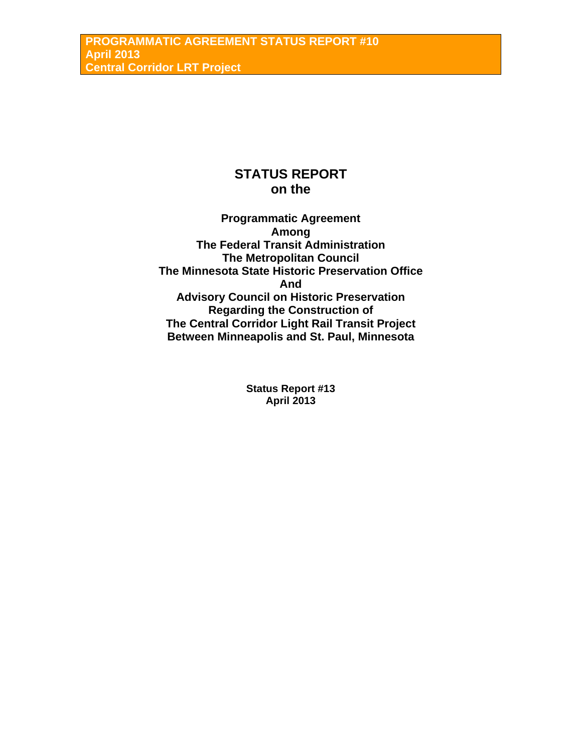# **STATUS REPORT on the**

**Programmatic Agreement Among The Federal Transit Administration The Metropolitan Council The Minnesota State Historic Preservation Office And Advisory Council on Historic Preservation Regarding the Construction of The Central Corridor Light Rail Transit Project Between Minneapolis and St. Paul, Minnesota** 

> **Status Report #13 April 2013**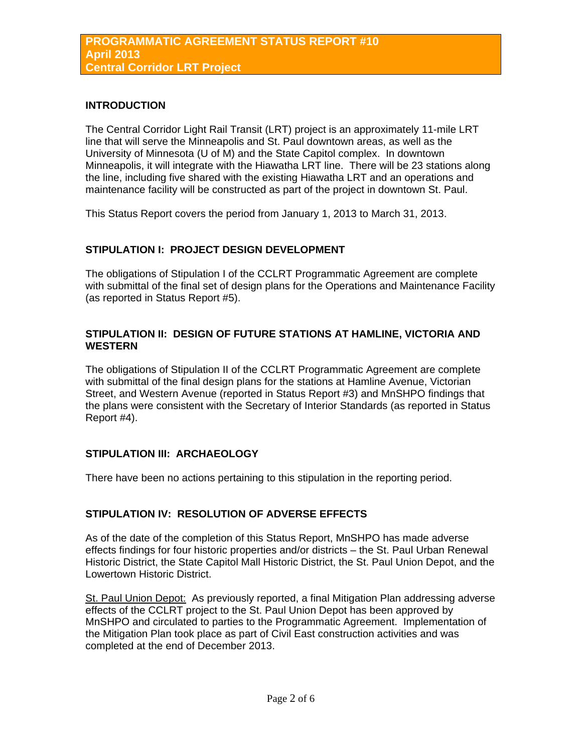### **INTRODUCTION**

The Central Corridor Light Rail Transit (LRT) project is an approximately 11-mile LRT line that will serve the Minneapolis and St. Paul downtown areas, as well as the University of Minnesota (U of M) and the State Capitol complex. In downtown Minneapolis, it will integrate with the Hiawatha LRT line. There will be 23 stations along the line, including five shared with the existing Hiawatha LRT and an operations and maintenance facility will be constructed as part of the project in downtown St. Paul.

This Status Report covers the period from January 1, 2013 to March 31, 2013.

### **STIPULATION I: PROJECT DESIGN DEVELOPMENT**

The obligations of Stipulation I of the CCLRT Programmatic Agreement are complete with submittal of the final set of design plans for the Operations and Maintenance Facility (as reported in Status Report #5).

### **STIPULATION II: DESIGN OF FUTURE STATIONS AT HAMLINE, VICTORIA AND WESTERN**

The obligations of Stipulation II of the CCLRT Programmatic Agreement are complete with submittal of the final design plans for the stations at Hamline Avenue, Victorian Street, and Western Avenue (reported in Status Report #3) and MnSHPO findings that the plans were consistent with the Secretary of Interior Standards (as reported in Status Report #4).

### **STIPULATION III: ARCHAEOLOGY**

There have been no actions pertaining to this stipulation in the reporting period.

### **STIPULATION IV: RESOLUTION OF ADVERSE EFFECTS**

As of the date of the completion of this Status Report, MnSHPO has made adverse effects findings for four historic properties and/or districts – the St. Paul Urban Renewal Historic District, the State Capitol Mall Historic District, the St. Paul Union Depot, and the Lowertown Historic District.

St. Paul Union Depot: As previously reported, a final Mitigation Plan addressing adverse effects of the CCLRT project to the St. Paul Union Depot has been approved by MnSHPO and circulated to parties to the Programmatic Agreement. Implementation of the Mitigation Plan took place as part of Civil East construction activities and was completed at the end of December 2013.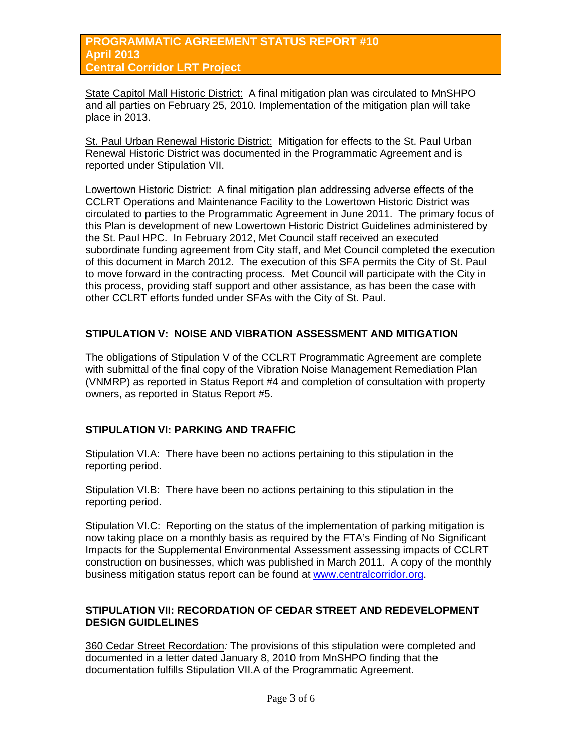State Capitol Mall Historic District: A final mitigation plan was circulated to MnSHPO and all parties on February 25, 2010. Implementation of the mitigation plan will take place in 2013.

St. Paul Urban Renewal Historic District: Mitigation for effects to the St. Paul Urban Renewal Historic District was documented in the Programmatic Agreement and is reported under Stipulation VII.

Lowertown Historic District: A final mitigation plan addressing adverse effects of the CCLRT Operations and Maintenance Facility to the Lowertown Historic District was circulated to parties to the Programmatic Agreement in June 2011. The primary focus of this Plan is development of new Lowertown Historic District Guidelines administered by the St. Paul HPC. In February 2012, Met Council staff received an executed subordinate funding agreement from City staff, and Met Council completed the execution of this document in March 2012. The execution of this SFA permits the City of St. Paul to move forward in the contracting process. Met Council will participate with the City in this process, providing staff support and other assistance, as has been the case with other CCLRT efforts funded under SFAs with the City of St. Paul.

### **STIPULATION V: NOISE AND VIBRATION ASSESSMENT AND MITIGATION**

The obligations of Stipulation V of the CCLRT Programmatic Agreement are complete with submittal of the final copy of the Vibration Noise Management Remediation Plan (VNMRP) as reported in Status Report #4 and completion of consultation with property owners, as reported in Status Report #5.

### **STIPULATION VI: PARKING AND TRAFFIC**

Stipulation VI.A: There have been no actions pertaining to this stipulation in the reporting period.

Stipulation VI.B: There have been no actions pertaining to this stipulation in the reporting period.

Stipulation VI.C: Reporting on the status of the implementation of parking mitigation is now taking place on a monthly basis as required by the FTA's Finding of No Significant Impacts for the Supplemental Environmental Assessment assessing impacts of CCLRT construction on businesses, which was published in March 2011. A copy of the monthly business mitigation status report can be found at [www.centralcorridor.org.](http://www.centralcorridor.org/)

### **STIPULATION VII: RECORDATION OF CEDAR STREET AND REDEVELOPMENT DESIGN GUIDLELINES**

360 Cedar Street Recordation*:* The provisions of this stipulation were completed and documented in a letter dated January 8, 2010 from MnSHPO finding that the documentation fulfills Stipulation VII.A of the Programmatic Agreement.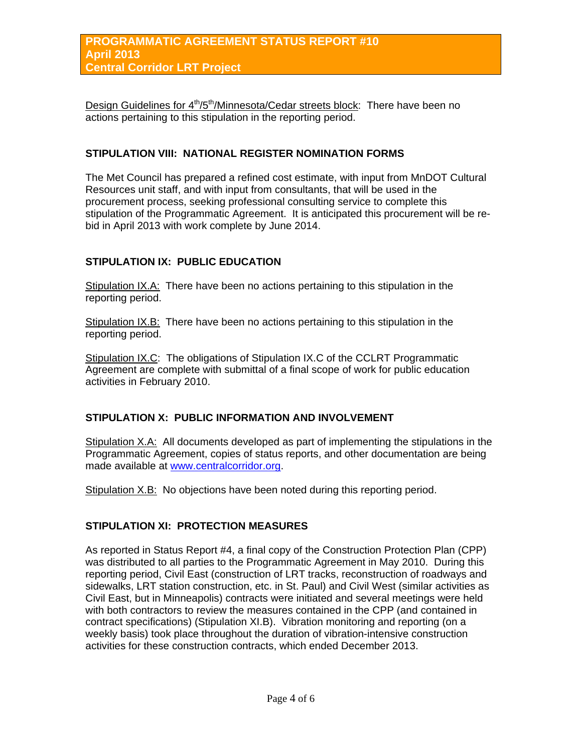Design Guidelines for 4<sup>th</sup>/5<sup>th</sup>/Minnesota/Cedar streets block: There have been no actions pertaining to this stipulation in the reporting period.

### **STIPULATION VIII: NATIONAL REGISTER NOMINATION FORMS**

The Met Council has prepared a refined cost estimate, with input from MnDOT Cultural Resources unit staff, and with input from consultants, that will be used in the procurement process, seeking professional consulting service to complete this stipulation of the Programmatic Agreement. It is anticipated this procurement will be rebid in April 2013 with work complete by June 2014.

### **STIPULATION IX: PUBLIC EDUCATION**

Stipulation IX.A: There have been no actions pertaining to this stipulation in the reporting period.

Stipulation IX.B: There have been no actions pertaining to this stipulation in the reporting period.

Stipulation IX.C: The obligations of Stipulation IX.C of the CCLRT Programmatic Agreement are complete with submittal of a final scope of work for public education activities in February 2010.

### **STIPULATION X: PUBLIC INFORMATION AND INVOLVEMENT**

Stipulation X.A: All documents developed as part of implementing the stipulations in the Programmatic Agreement, copies of status reports, and other documentation are being made available at [www.centralcorridor.org](http://www.centralcorridor.org/).

Stipulation X.B: No objections have been noted during this reporting period.

#### **STIPULATION XI: PROTECTION MEASURES**

As reported in Status Report #4, a final copy of the Construction Protection Plan (CPP) was distributed to all parties to the Programmatic Agreement in May 2010. During this reporting period, Civil East (construction of LRT tracks, reconstruction of roadways and sidewalks, LRT station construction, etc. in St. Paul) and Civil West (similar activities as Civil East, but in Minneapolis) contracts were initiated and several meetings were held with both contractors to review the measures contained in the CPP (and contained in contract specifications) (Stipulation XI.B). Vibration monitoring and reporting (on a weekly basis) took place throughout the duration of vibration-intensive construction activities for these construction contracts, which ended December 2013.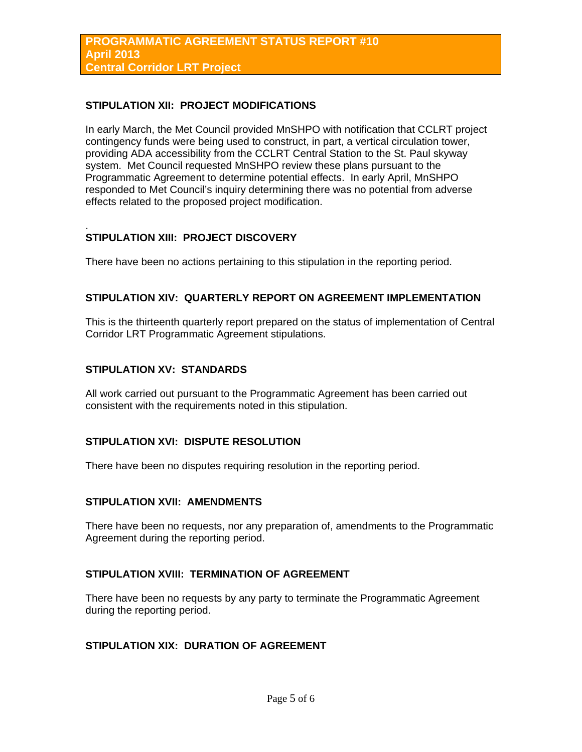### **STIPULATION XII: PROJECT MODIFICATIONS**

In early March, the Met Council provided MnSHPO with notification that CCLRT project contingency funds were being used to construct, in part, a vertical circulation tower, providing ADA accessibility from the CCLRT Central Station to the St. Paul skyway system. Met Council requested MnSHPO review these plans pursuant to the Programmatic Agreement to determine potential effects. In early April, MnSHPO responded to Met Council's inquiry determining there was no potential from adverse effects related to the proposed project modification.

#### . **STIPULATION XIII: PROJECT DISCOVERY**

There have been no actions pertaining to this stipulation in the reporting period.

### **STIPULATION XIV: QUARTERLY REPORT ON AGREEMENT IMPLEMENTATION**

This is the thirteenth quarterly report prepared on the status of implementation of Central Corridor LRT Programmatic Agreement stipulations.

### **STIPULATION XV: STANDARDS**

All work carried out pursuant to the Programmatic Agreement has been carried out consistent with the requirements noted in this stipulation.

### **STIPULATION XVI: DISPUTE RESOLUTION**

There have been no disputes requiring resolution in the reporting period.

### **STIPULATION XVII: AMENDMENTS**

There have been no requests, nor any preparation of, amendments to the Programmatic Agreement during the reporting period.

### **STIPULATION XVIII: TERMINATION OF AGREEMENT**

There have been no requests by any party to terminate the Programmatic Agreement during the reporting period.

## **STIPULATION XIX: DURATION OF AGREEMENT**